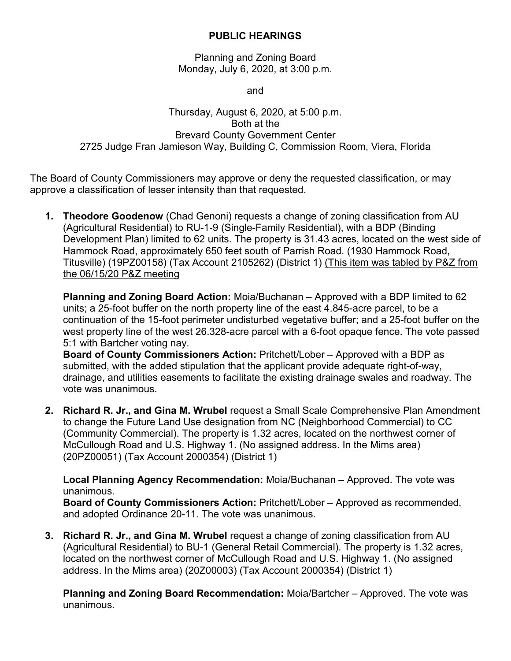## **PUBLIC HEARINGS**

Planning and Zoning Board Monday, July 6, 2020, at 3:00 p.m.

and

## Thursday, August 6, 2020, at 5:00 p.m. Both at the Brevard County Government Center 2725 Judge Fran Jamieson Way, Building C, Commission Room, Viera, Florida

The Board of County Commissioners may approve or deny the requested classification, or may approve a classification of lesser intensity than that requested.

**1. Theodore Goodenow** (Chad Genoni) requests a change of zoning classification from AU (Agricultural Residential) to RU-1-9 (Single-Family Residential), with a BDP (Binding Development Plan) limited to 62 units. The property is 31.43 acres, located on the west side of Hammock Road, approximately 650 feet south of Parrish Road. (1930 Hammock Road, Titusville) (19PZ00158) (Tax Account 2105262) (District 1) (This item was tabled by P&Z from the 06/15/20 P&Z meeting

**Planning and Zoning Board Action:** Moia/Buchanan – Approved with a BDP limited to 62 units; a 25-foot buffer on the north property line of the east 4.845-acre parcel, to be a continuation of the 15-foot perimeter undisturbed vegetative buffer; and a 25-foot buffer on the west property line of the west 26.328-acre parcel with a 6-foot opaque fence. The vote passed 5:1 with Bartcher voting nay.

**Board of County Commissioners Action:** Pritchett/Lober – Approved with a BDP as submitted, with the added stipulation that the applicant provide adequate right-of-way, drainage, and utilities easements to facilitate the existing drainage swales and roadway. The vote was unanimous.

**2. Richard R. Jr., and Gina M. Wrubel** request a Small Scale Comprehensive Plan Amendment to change the Future Land Use designation from NC (Neighborhood Commercial) to CC (Community Commercial). The property is 1.32 acres, located on the northwest corner of McCullough Road and U.S. Highway 1. (No assigned address. In the Mims area) (20PZ00051) (Tax Account 2000354) (District 1)

**Local Planning Agency Recommendation:** Moia/Buchanan – Approved. The vote was unanimous.

**Board of County Commissioners Action:** Pritchett/Lober – Approved as recommended, and adopted Ordinance 20-11. The vote was unanimous.

**3. Richard R. Jr., and Gina M. Wrubel** request a change of zoning classification from AU (Agricultural Residential) to BU-1 (General Retail Commercial). The property is 1.32 acres, located on the northwest corner of McCullough Road and U.S. Highway 1. (No assigned address. In the Mims area) (20Z00003) (Tax Account 2000354) (District 1)

**Planning and Zoning Board Recommendation:** Moia/Bartcher – Approved. The vote was unanimous.